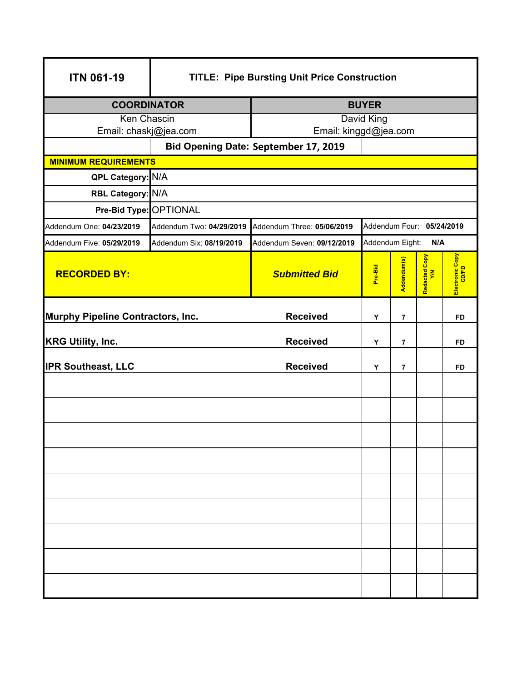| <b>ITN 061-19</b>                        | <b>TITLE: Pipe Bursting Unit Price Construction</b> |                                                         |                        |                |                      |                          |  |  |
|------------------------------------------|-----------------------------------------------------|---------------------------------------------------------|------------------------|----------------|----------------------|--------------------------|--|--|
| <b>COORDINATOR</b>                       |                                                     | <b>BUYER</b>                                            |                        |                |                      |                          |  |  |
| Ken Chascin<br>Email: chaskj@jea.com     |                                                     | David King                                              |                        |                |                      |                          |  |  |
|                                          | Bid Opening Date: September 17, 2019                | Email: kinggd@jea.com                                   |                        |                |                      |                          |  |  |
| <b>MINIMUM REQUIREMENTS</b>              |                                                     |                                                         |                        |                |                      |                          |  |  |
|                                          | QPL Category: N/A                                   |                                                         |                        |                |                      |                          |  |  |
| RBL Category: N/A                        |                                                     |                                                         |                        |                |                      |                          |  |  |
| Pre-Bid Type: OPTIONAL                   |                                                     |                                                         |                        |                |                      |                          |  |  |
| Addendum One: 04/23/2019                 | Addendum Two: 04/29/2019                            | Addendum Four: 05/24/2019<br>Addendum Three: 05/06/2019 |                        |                |                      |                          |  |  |
| Addendum Five: 05/29/2019                | Addendum Six: 08/19/2019                            | Addendum Seven: 09/12/2019                              | Addendum Eight:<br>N/A |                |                      |                          |  |  |
| <b>RECORDED BY:</b>                      |                                                     | <b>Submitted Bid</b>                                    | Pre-Bid                | Addendum(s)    | Redacted Copy<br>Y/N | Electronic Copy<br>CD/FD |  |  |
| <b>Murphy Pipeline Contractors, Inc.</b> |                                                     | <b>Received</b>                                         | Υ                      | $\overline{7}$ |                      | <b>FD</b>                |  |  |
| <b>KRG Utility, Inc.</b>                 |                                                     | <b>Received</b>                                         | Υ                      | 7              |                      | FD                       |  |  |
| <b>IPR Southeast, LLC</b>                |                                                     | <b>Received</b>                                         | Y                      | $\overline{7}$ |                      | <b>FD</b>                |  |  |
|                                          |                                                     |                                                         |                        |                |                      |                          |  |  |
|                                          |                                                     |                                                         |                        |                |                      |                          |  |  |
|                                          |                                                     |                                                         |                        |                |                      |                          |  |  |
|                                          |                                                     |                                                         |                        |                |                      |                          |  |  |
|                                          |                                                     |                                                         |                        |                |                      |                          |  |  |
|                                          |                                                     |                                                         |                        |                |                      |                          |  |  |
|                                          |                                                     |                                                         |                        |                |                      |                          |  |  |
|                                          |                                                     |                                                         |                        |                |                      |                          |  |  |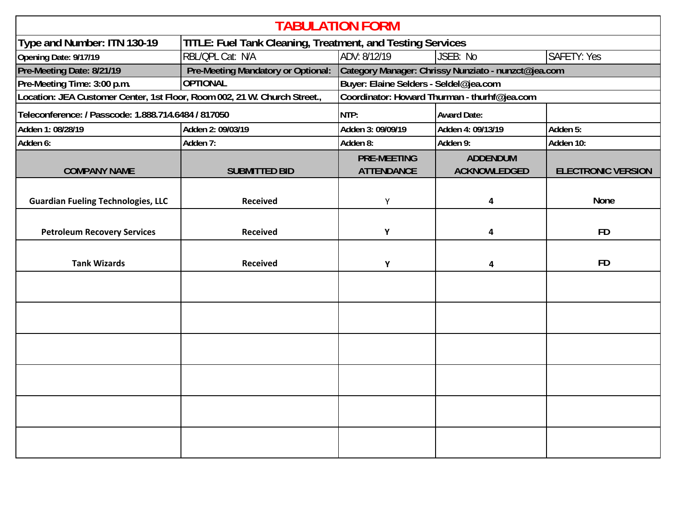| <b>TABULATION FORM</b>                                                                           |                                              |                                                     |                                        |                           |  |  |  |
|--------------------------------------------------------------------------------------------------|----------------------------------------------|-----------------------------------------------------|----------------------------------------|---------------------------|--|--|--|
| Type and Number: ITN 130-19<br><b>TITLE: Fuel Tank Cleaning, Treatment, and Testing Services</b> |                                              |                                                     |                                        |                           |  |  |  |
| Opening Date: 9/17/19                                                                            | RBL/QPL Cat: N/A                             | ADV: 8/12/19                                        | JSEB: No                               | <b>SAFETY: Yes</b>        |  |  |  |
| Pre-Meeting Date: 8/21/19                                                                        | <b>Pre-Meeting Mandatory or Optional:</b>    | Category Manager: Chrissy Nunziato - nunzct@jea.com |                                        |                           |  |  |  |
| Pre-Meeting Time: 3:00 p.m.                                                                      | <b>OPTIONAL</b>                              | Buyer: Elaine Selders - Seldel@jea.com              |                                        |                           |  |  |  |
| Location: JEA Customer Center, 1st Floor, Room 002, 21 W. Church Street.,                        | Coordinator: Howard Thurman - thurhf@jea.com |                                                     |                                        |                           |  |  |  |
| Teleconference: / Passcode: 1.888.714.6484 / 817050                                              |                                              | NTP:                                                | <b>Award Date:</b>                     |                           |  |  |  |
| Adden 1: 08/28/19                                                                                | Adden 2: 09/03/19                            | Adden 3: 09/09/19                                   | Adden 4: 09/13/19                      | Adden 5:                  |  |  |  |
| Adden 6:                                                                                         | Adden 7:                                     | Adden 8:                                            | Adden 9:                               | Adden 10:                 |  |  |  |
| <b>COMPANY NAME</b>                                                                              | <b>SUBMITTED BID</b>                         | <b>PRE-MEETING</b><br><b>ATTENDANCE</b>             | <b>ADDENDUM</b><br><b>ACKNOWLEDGED</b> | <b>ELECTRONIC VERSION</b> |  |  |  |
|                                                                                                  |                                              |                                                     |                                        |                           |  |  |  |
| <b>Guardian Fueling Technologies, LLC</b>                                                        | <b>Received</b>                              | Υ                                                   | 4                                      | <b>None</b>               |  |  |  |
|                                                                                                  |                                              |                                                     |                                        | <b>FD</b>                 |  |  |  |
| <b>Petroleum Recovery Services</b>                                                               | <b>Received</b>                              | Υ                                                   | 4                                      |                           |  |  |  |
| <b>Tank Wizards</b>                                                                              | <b>Received</b>                              | Y                                                   | 4                                      | <b>FD</b>                 |  |  |  |
|                                                                                                  |                                              |                                                     |                                        |                           |  |  |  |
|                                                                                                  |                                              |                                                     |                                        |                           |  |  |  |
|                                                                                                  |                                              |                                                     |                                        |                           |  |  |  |
|                                                                                                  |                                              |                                                     |                                        |                           |  |  |  |
|                                                                                                  |                                              |                                                     |                                        |                           |  |  |  |
|                                                                                                  |                                              |                                                     |                                        |                           |  |  |  |